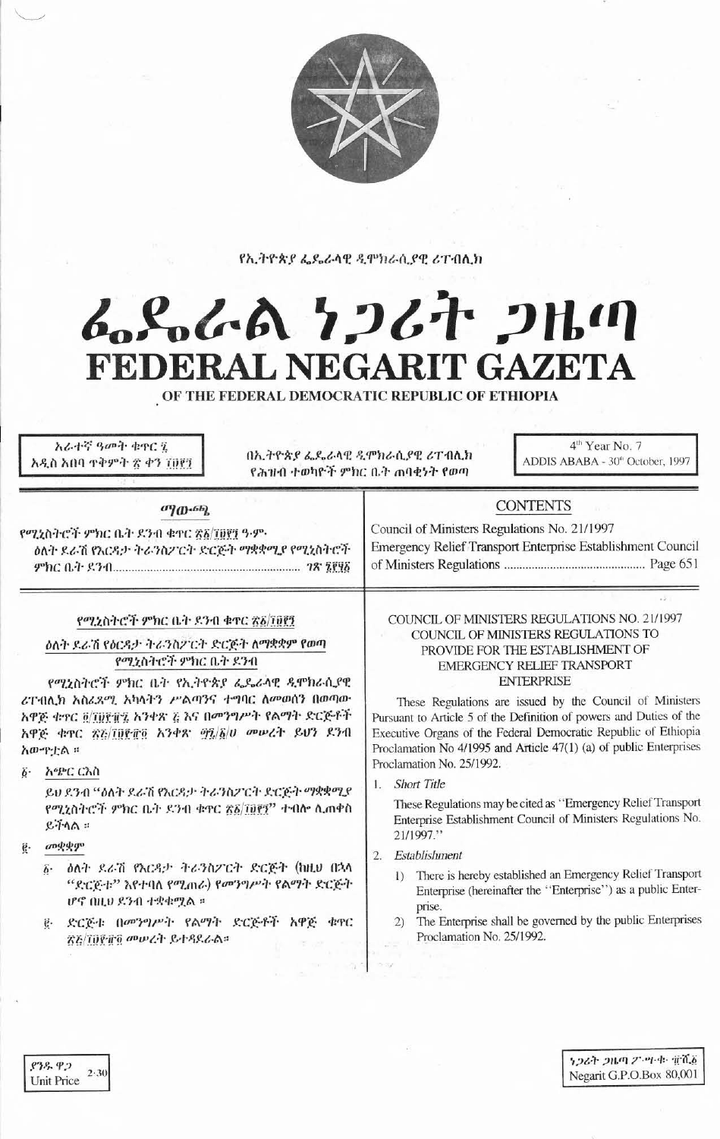

የኢትዮጵያ ፌዴራላዊ ዲሞክራሲያዊ ሪፐብሊክ

# んとんへん ケンムナ ンルハ **FEDERAL NEGARIT GAZETA**

OF THE FEDERAL DEMOCRATIC REPUBLIC OF ETHIOPIA

አራተኛ ዓመት ቁዋር ሂ አዲስ አበባ ተቅምት ፳ ቀን ፲፱፻፺

በኢትዮጵያ ፌዴራላዊ ዲሞክራሲያዊ ሪፐብሊክ የሕዝብ ተወካዮች ምክር ቤት ጠባቂነት የወጣ

4<sup>th</sup> Year No. 7 ADDIS ABABA - 30th October, 1997

## $\sigma$ <sup>1</sup>(D<sub>'</sub> $\sigma$ b)

የሚኒስትሮች ምክር ቤት ደንብ ቁተር ፳፩/፲፱፻፺ ዓ.ም. ዕለት ዶራሽ የእርዳታ ትራንስፖርት ድርጅት ማቋቋሚያ የሚኒስትሮች  Council of Ministers Regulations No. 21/1997 Emergency Relief Transport Enterprise Establishment Council 

**CONTENTS** 

## የሚኒስትሮች ምክር ቤት ደንብ ቁተር ፳፩/፲፱፻፺

ዕለት ደራሽ የዕርዳታ ትራንስፖርት ድርጅት ለማቋቋም የወጣ የሚኒስትሮች ምክር ቤት ደንብ

የሚኒስትሮች ምክር ቤት የኢትዮጵያ ፌዴራላዊ ዲሞክራሲያዊ ሪፐብሊክ አስሬጸሚ አካላትን ሥልጣንና ተግባር ስመወሰን በወጣው አዋጅ ቁጥር @/TUP/FZ አንቀጽ č እና በመንግሥት የልማት ድርጅቶች አዋጅ ቁዋር ፳፫/፲፱፻፹፬ አንቀጽ ማረ/δ/ሀ መሥረት ይሆን ደንብ አውዋቷል ፡፡

## ፩· አጭር ርእስ

ይህ ደንብ "ዕለት ደራሽ የእርዳታ ትራንስፖርት ድርጅት ማቋቋሚያ የሚኒስትሮች ምክር ቤት ደንብ ቁዋር ፳፩/፲፱፻፺" ተብሎ ሊጠቀስ  $e + \Delta$ 

- መቋቋም  $\vec{e}$ .
	- ዕለት ደራሽ የእርዳታ ትራንስፖርት ድርጅት (ከዚህ በኋላ ö. "ድርጅቱ" እየተባለ የሚጠራ) የመንግሥት የልማት ድርጅት ሆኖ በዚህ ደንብ ተቋቁሟል ።
	- ድርጅቱ በመንግሥት የልማት ድርጅቶች አዋጅ ቁዋር ኛሯ/፲፱፻፹፬ መሥረት ይተዳደራል።

## COUNCIL OF MINISTERS REGULATIONS NO. 21/1997 COUNCIL OF MINISTERS REGULATIONS TO PROVIDE FOR THE ESTABLISHMENT OF **EMERGENCY RELIEF TRANSPORT ENTERPRISE**

These Regulations are issued by the Council of Ministers Pursuant to Article 5 of the Definition of powers and Duties of the Executive Organs of the Federal Democratic Republic of Ethiopia Proclamation No 4/1995 and Article 47(1) (a) of public Enterprises Proclamation No. 25/1992.

**Short Title** Γ.

> These Regulations may be cited as "Emergency Relief Transport Enterprise Establishment Council of Ministers Regulations No. 21/1997."

- 2. Establishment
	- 1) There is hereby established an Emergency Relief Transport Enterprise (hereinafter the "Enterprise") as a public Enterprise.
	- The Enterprise shall be governed by the public Enterprises  $(2)$ Proclamation No. 25/1992.